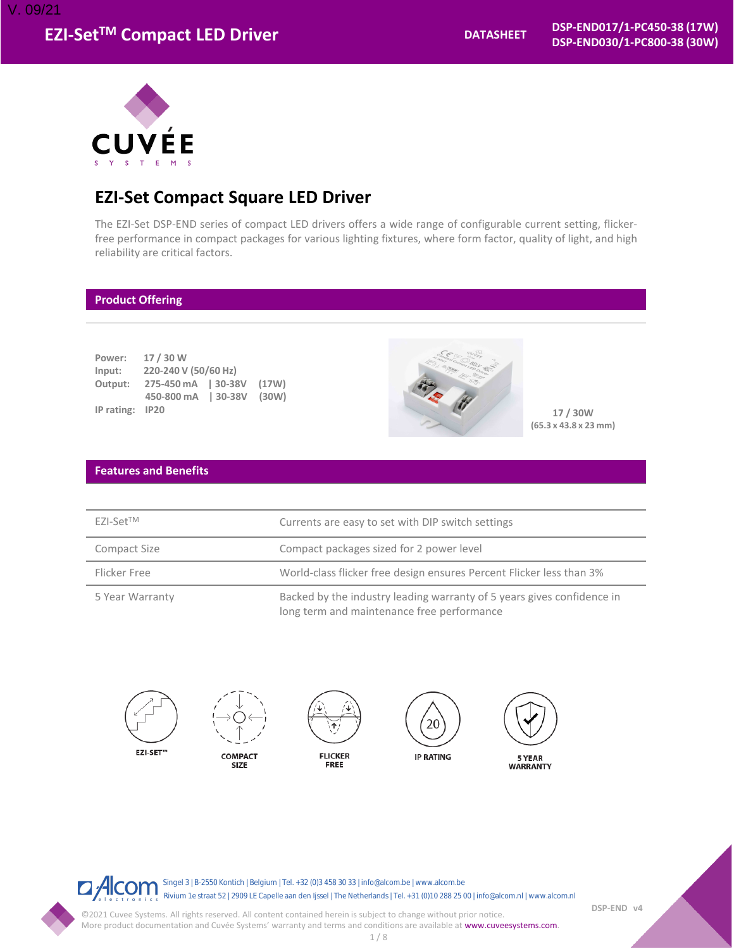

# **EZI-Set Compact Square LED Driver**

The EZI-Set DSP-END series of compact LED drivers offers a wide range of configurable current setting, flickerfree performance in compact packages for various lighting fixtures, where form factor, quality of light, and high reliability are critical factors.

## **Product Offering**

| Power:     | 17 / 30 W            |           |       |
|------------|----------------------|-----------|-------|
| Input:     | 220-240 V (50/60 Hz) |           |       |
| Output:    | 275-450 mA   30-38V  |           | (17W) |
|            | 450-800 mA           | $ 30-38V$ | (30W) |
| IP rating: | <b>IP20</b>          |           |       |



**17 / 30W (65.3 x 43.8 x 23 mm)**

## **Features and Benefits**

| $FZ$ -Set <sup>TM</sup> | Currents are easy to set with DIP switch settings                                                                    |
|-------------------------|----------------------------------------------------------------------------------------------------------------------|
| Compact Size            | Compact packages sized for 2 power level                                                                             |
| Flicker Free            | World-class flicker free design ensures Percent Flicker less than 3%                                                 |
| 5 Year Warranty         | Backed by the industry leading warranty of 5 years gives confidence in<br>long term and maintenance free performance |



 $\Box$  Alcom Singel 3 | B-2550 Kontich | Belgium | Tel. +32 (0)3 458 30 33 | info@alcom.be | www.alcom.be Rivium 1e straat 52 | 2909 LE Capelle aan den Ijssel | The Netherlands | Tel. +31 (0)10 288 25 00 | info@alcom.nl | www.alcom.nl

**DSP-END v4**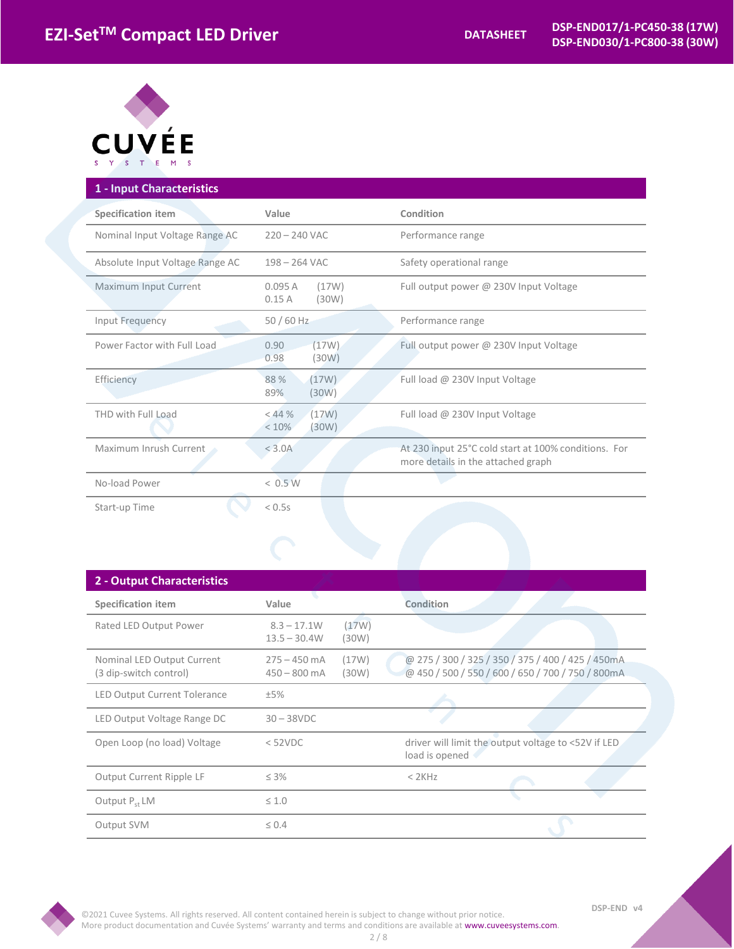

| 1 - Input Characteristics       |                                       |                                                                                            |
|---------------------------------|---------------------------------------|--------------------------------------------------------------------------------------------|
| <b>Specification item</b>       | Value                                 | Condition                                                                                  |
| Nominal Input Voltage Range AC  | $220 - 240$ VAC                       | Performance range                                                                          |
| Absolute Input Voltage Range AC | $198 - 264$ VAC                       | Safety operational range                                                                   |
| Maximum Input Current           | 0.095A<br>(17W)<br>(30W)<br>0.15A     | Full output power @ 230V Input Voltage                                                     |
| Input Frequency                 | 50 / 60 Hz                            | Performance range                                                                          |
| Power Factor with Full Load     | (17W)<br>0.90<br>0.98<br>(30W)        | Full output power @ 230V Input Voltage                                                     |
| Efficiency                      | (17W)<br>88 %<br>89%<br>(30W)         | Full load @ 230V Input Voltage                                                             |
| THD with Full Load              | $<$ 44 $%$<br>(17W)<br>< 10%<br>(30W) | Full load @ 230V Input Voltage                                                             |
| Maximum Inrush Current          | < 3.0A                                | At 230 input 25°C cold start at 100% conditions. For<br>more details in the attached graph |
| No-load Power                   | < 0.5 W                               |                                                                                            |
| Start-up Time                   | < 0.5s                                |                                                                                            |

| 2 - Output Characteristics                           |                                  |                |                                                                                                        |
|------------------------------------------------------|----------------------------------|----------------|--------------------------------------------------------------------------------------------------------|
| <b>Specification item</b>                            | Value                            |                | Condition                                                                                              |
| Rated LED Output Power                               | $8.3 - 17.1W$<br>$13.5 - 30.4W$  | (17W)<br>(30W) |                                                                                                        |
| Nominal LED Output Current<br>(3 dip-switch control) | $275 - 450$ mA<br>$450 - 800$ mA | (17W)<br>(30W) | @ 275 / 300 / 325 / 350 / 375 / 400 / 425 / 450mA<br>@ 450 / 500 / 550 / 600 / 650 / 700 / 750 / 800mA |
| <b>LED Output Current Tolerance</b>                  | ±5%                              |                |                                                                                                        |
| LED Output Voltage Range DC                          | $30 - 38$ VDC                    |                |                                                                                                        |
| Open Loop (no load) Voltage                          | $<$ 52VDC                        |                | driver will limit the output voltage to <52V if LED<br>load is opened                                  |
| Output Current Ripple LF                             | $\leq 3\%$                       |                | $<$ 2 $K$ Hz                                                                                           |
| Output P <sub>ct</sub> LM                            | $\leq 1.0$                       |                |                                                                                                        |
| Output SVM                                           | $\leq 0.4$                       |                |                                                                                                        |

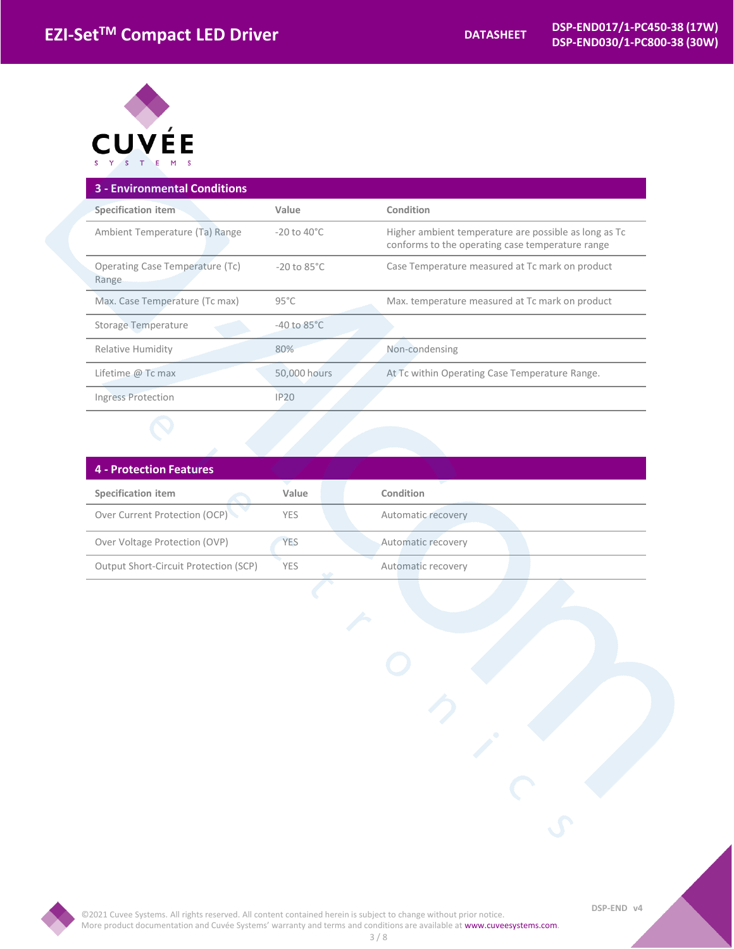

| <b>3 - Environmental Conditions</b>      |                         |                                                                                                           |
|------------------------------------------|-------------------------|-----------------------------------------------------------------------------------------------------------|
| Specification item                       | Value                   | Condition                                                                                                 |
| Ambient Temperature (Ta) Range           | $-20$ to $40^{\circ}$ C | Higher ambient temperature are possible as long as Tc<br>conforms to the operating case temperature range |
| Operating Case Temperature (Tc)<br>Range | $-20$ to $85^{\circ}$ C | Case Temperature measured at Tc mark on product                                                           |
| Max. Case Temperature (Tc max)           | $95^{\circ}$ C          | Max. temperature measured at Tc mark on product                                                           |
| <b>Storage Temperature</b>               | $-40$ to $85^{\circ}$ C |                                                                                                           |
| Relative Humidity                        | 80%                     | Non-condensing                                                                                            |
| Lifetime $@$ Tc max                      | 50,000 hours            | At Tc within Operating Case Temperature Range.                                                            |
| <b>Ingress Protection</b>                | <b>IP20</b>             |                                                                                                           |
|                                          |                         |                                                                                                           |

| 4 - Protection Features               |            |                    |
|---------------------------------------|------------|--------------------|
| <b>Specification item</b>             | Value      | Condition          |
| Over Current Protection (OCP)         | YES.       | Automatic recovery |
| Over Voltage Protection (OVP)         | <b>YES</b> | Automatic recovery |
| Output Short-Circuit Protection (SCP) | YES.       | Automatic recovery |

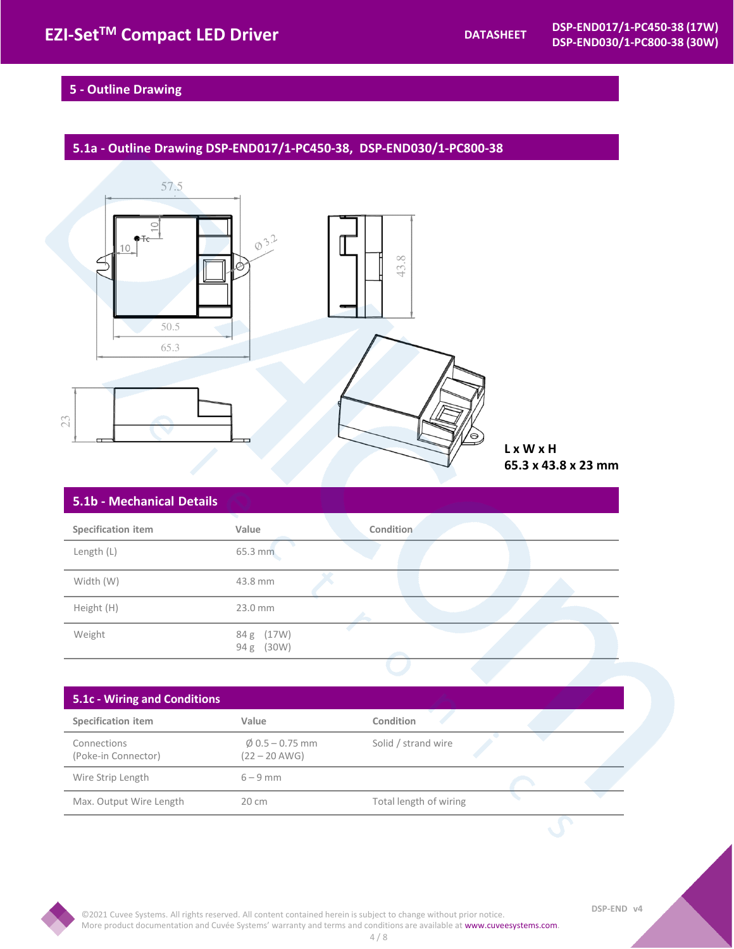## **5 - Outline Drawing**

## **5.1a - Outline Drawing DSP-END017/1-PC450-38, DSP-END030/1-PC800-38**



## **S.1b - Mechanical Details Condition in the Value Condition**

| Specification item | Value                       | Condition |  |
|--------------------|-----------------------------|-----------|--|
| Length (L)         | 65.3 mm                     |           |  |
| Width (W)          | 43.8 mm                     |           |  |
| Height (H)         | 23.0 mm                     |           |  |
| Weight             | 84 g (17W)<br>(30W)<br>94 g |           |  |

## Specification item **Value** Value Condition Connections (Poke-in Connector)  $\phi$  0.5 – 0.75 mm  $(22 - 20$  AWG) Solid / strand wire Wire Strip Length 6 – 9 mm Max. Output Wire Length 20 cm Total length of wiring **5.1c - Wiring and Conditions**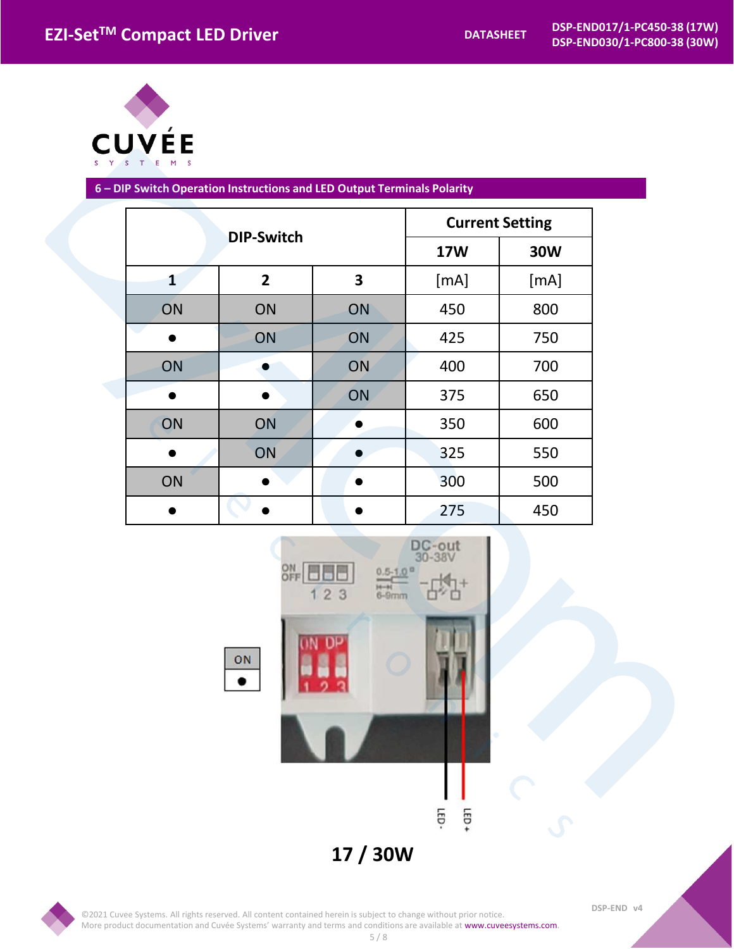

**6 – DIP Switch Operation Instructions and LED Output Terminals Polarity** 

| <b>DIP-Switch</b> |                |    | <b>Current Setting</b> |            |  |  |
|-------------------|----------------|----|------------------------|------------|--|--|
|                   |                |    | <b>17W</b>             | <b>30W</b> |  |  |
| $\mathbf{1}$      | $\overline{2}$ | 3  | [mA]                   | [mA]       |  |  |
| ON                | ON             | ON | 450                    | 800        |  |  |
|                   | ON             | ON | 425                    | 750        |  |  |
| ON                |                | ON | 400                    | 700        |  |  |
|                   |                | ON | 375                    | 650        |  |  |
| ON                | ON             |    | 350                    | 600        |  |  |
|                   | ON             |    | 325                    | 550        |  |  |
| ON                |                |    | 300                    | 500        |  |  |
|                   |                |    | 275                    | 450        |  |  |

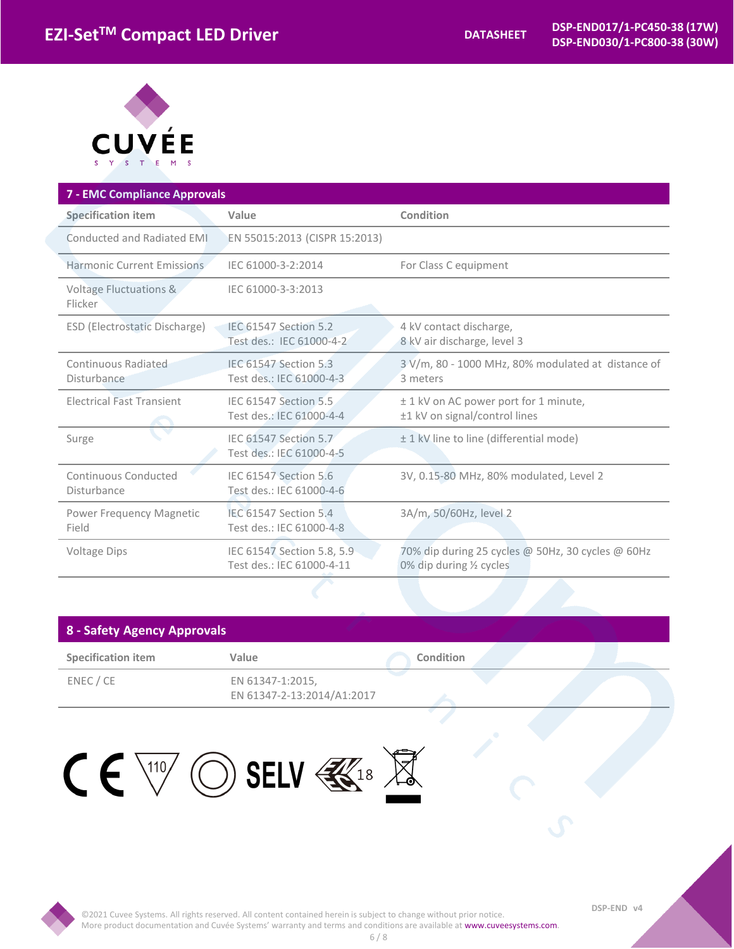

| <b>7 - EMC Compliance Approvals</b>          |                                                         |                                                                               |
|----------------------------------------------|---------------------------------------------------------|-------------------------------------------------------------------------------|
| <b>Specification item</b>                    | Value                                                   | Condition                                                                     |
| Conducted and Radiated EMI                   | EN 55015:2013 (CISPR 15:2013)                           |                                                                               |
| Harmonic Current Emissions                   | IEC 61000-3-2:2014                                      | For Class C equipment                                                         |
| <b>Voltage Fluctuations &amp;</b><br>Flicker | IEC 61000-3-3:2013                                      |                                                                               |
| ESD (Electrostatic Discharge)                | IEC 61547 Section 5.2<br>Test des.: IEC 61000-4-2       | 4 kV contact discharge,<br>8 kV air discharge, level 3                        |
| Continuous Radiated<br>Disturbance           | IEC 61547 Section 5.3<br>Test des.: IEC 61000-4-3       | 3 V/m, 80 - 1000 MHz, 80% modulated at distance of<br>3 meters                |
| <b>Electrical Fast Transient</b>             | IEC 61547 Section 5.5<br>Test des.: IEC 61000-4-4       | ± 1 kV on AC power port for 1 minute,<br>±1 kV on signal/control lines        |
| Surge                                        | IEC 61547 Section 5.7<br>Test des.: IEC 61000-4-5       | ± 1 kV line to line (differential mode)                                       |
| Continuous Conducted<br>Disturbance          | IEC 61547 Section 5.6<br>Test des.: IEC 61000-4-6       | 3V, 0.15-80 MHz, 80% modulated, Level 2                                       |
| Power Frequency Magnetic<br>Field            | IEC 61547 Section 5.4<br>Test des.: IEC 61000-4-8       | 3A/m, 50/60Hz, level 2                                                        |
| <b>Voltage Dips</b>                          | IEC 61547 Section 5.8, 5.9<br>Test des.: IEC 61000-4-11 | 70% dip during 25 cycles @ 50Hz, 30 cycles @ 60Hz<br>0% dip during 1/2 cycles |

## **8 - Safety Agency Approvals**

| <b>Specification item</b> | Value                                          | Condition |  |  |
|---------------------------|------------------------------------------------|-----------|--|--|
| ENEC / CE                 | EN 61347-1:2015,<br>EN 61347-2-13:2014/A1:2017 |           |  |  |



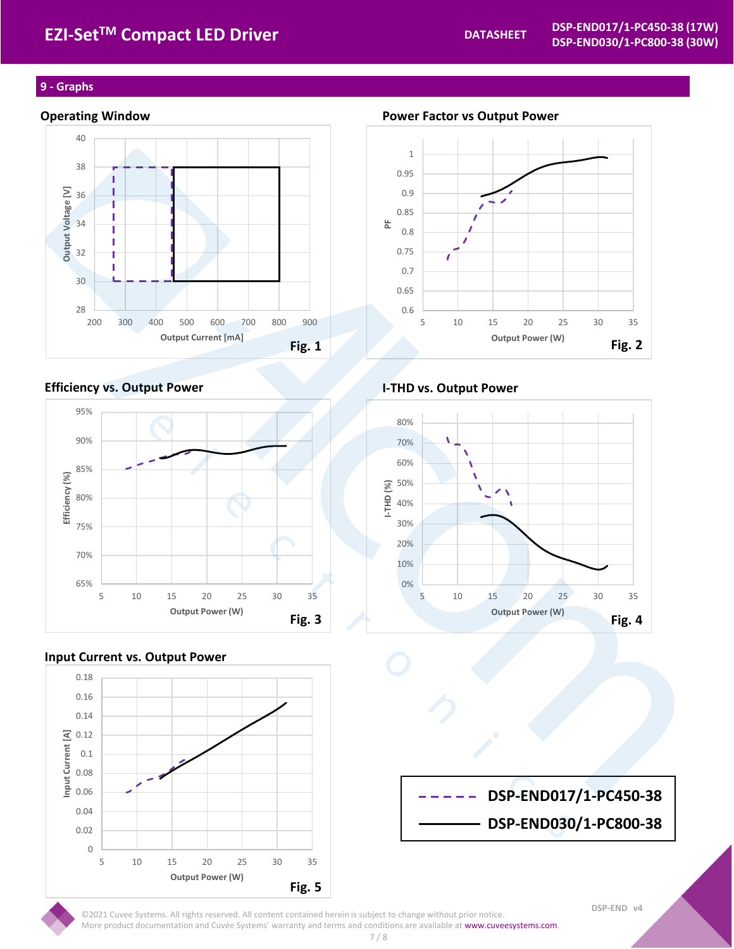# **EZI-Set<sup>™</sup> Compact LED Driver**

## **9 - Graphs**



## **Efficiency vs. Output Power I-THD vs. Output Power**



## **Input Current vs. Output Power**



**Operating Window Power Factor vs Output Power**





**DSP-END017/1-PC450-38 DSP-END030/1-PC800-38**